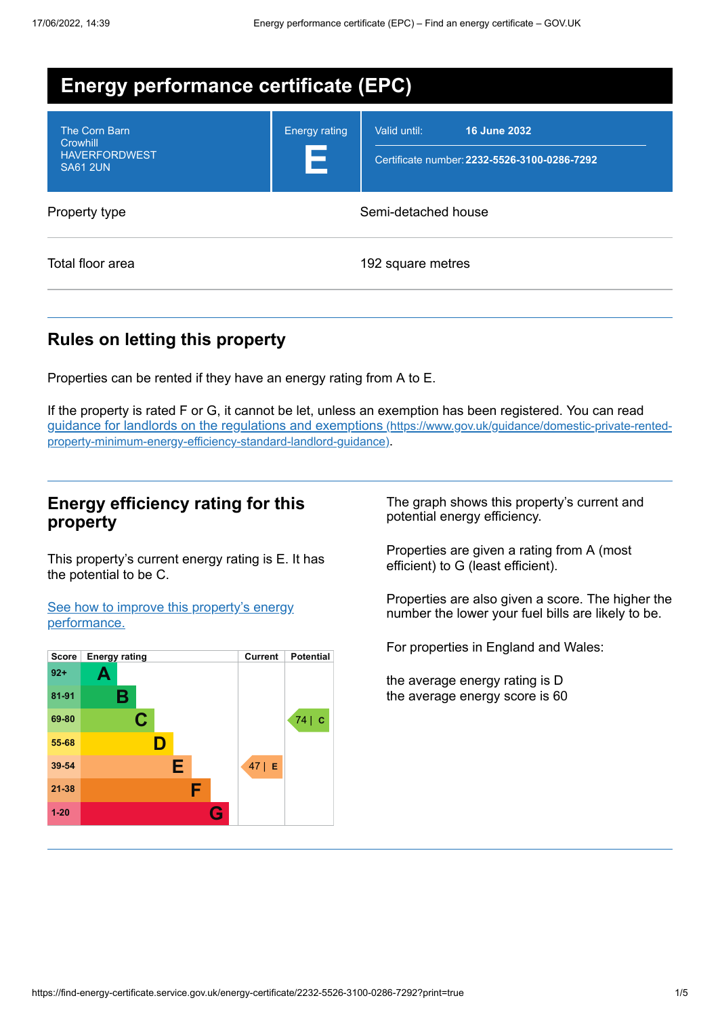| Energy performance certificate (EPC)                                 |                           |                                                                              |  |
|----------------------------------------------------------------------|---------------------------|------------------------------------------------------------------------------|--|
| The Corn Barn<br>Crowhill<br><b>HAVERFORDWEST</b><br><b>SA61 2UN</b> | <b>Energy rating</b><br>Е | Valid until:<br>16 June 2032<br>Certificate number: 2232-5526-3100-0286-7292 |  |
| Property type                                                        | Semi-detached house       |                                                                              |  |
| Total floor area                                                     |                           | 192 square metres                                                            |  |

## **Rules on letting this property**

Properties can be rented if they have an energy rating from A to E.

If the property is rated F or G, it cannot be let, unless an exemption has been registered. You can read guidance for landlords on the regulations and exemptions (https://www.gov.uk/guidance/domestic-private-rented[property-minimum-energy-efficiency-standard-landlord-guidance\)](https://www.gov.uk/guidance/domestic-private-rented-property-minimum-energy-efficiency-standard-landlord-guidance).

## **Energy efficiency rating for this property**

This property's current energy rating is E. It has the potential to be C.

See how to improve this property's energy [performance.](#page-2-0)



The graph shows this property's current and potential energy efficiency.

Properties are given a rating from A (most efficient) to G (least efficient).

Properties are also given a score. The higher the number the lower your fuel bills are likely to be.

For properties in England and Wales:

the average energy rating is D the average energy score is 60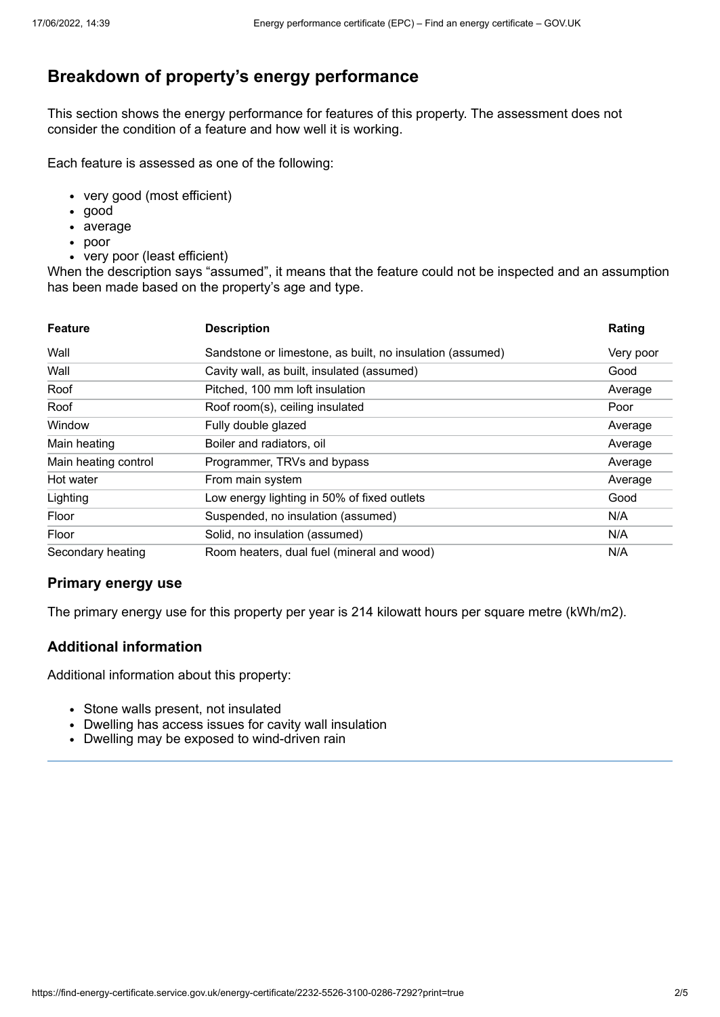# **Breakdown of property's energy performance**

This section shows the energy performance for features of this property. The assessment does not consider the condition of a feature and how well it is working.

Each feature is assessed as one of the following:

- very good (most efficient)
- good
- average
- poor
- very poor (least efficient)

When the description says "assumed", it means that the feature could not be inspected and an assumption has been made based on the property's age and type.

| <b>Feature</b>       | <b>Description</b>                                        | Rating    |
|----------------------|-----------------------------------------------------------|-----------|
| Wall                 | Sandstone or limestone, as built, no insulation (assumed) | Very poor |
| Wall                 | Cavity wall, as built, insulated (assumed)                | Good      |
| Roof                 | Pitched, 100 mm loft insulation                           | Average   |
| Roof                 | Roof room(s), ceiling insulated                           | Poor      |
| Window               | Fully double glazed                                       | Average   |
| Main heating         | Boiler and radiators, oil                                 | Average   |
| Main heating control | Programmer, TRVs and bypass                               | Average   |
| Hot water            | From main system                                          | Average   |
| Lighting             | Low energy lighting in 50% of fixed outlets               | Good      |
| Floor                | Suspended, no insulation (assumed)                        | N/A       |
| Floor                | Solid, no insulation (assumed)                            | N/A       |
| Secondary heating    | Room heaters, dual fuel (mineral and wood)                | N/A       |

#### **Primary energy use**

The primary energy use for this property per year is 214 kilowatt hours per square metre (kWh/m2).

#### **Additional information**

Additional information about this property:

- Stone walls present, not insulated
- Dwelling has access issues for cavity wall insulation
- Dwelling may be exposed to wind-driven rain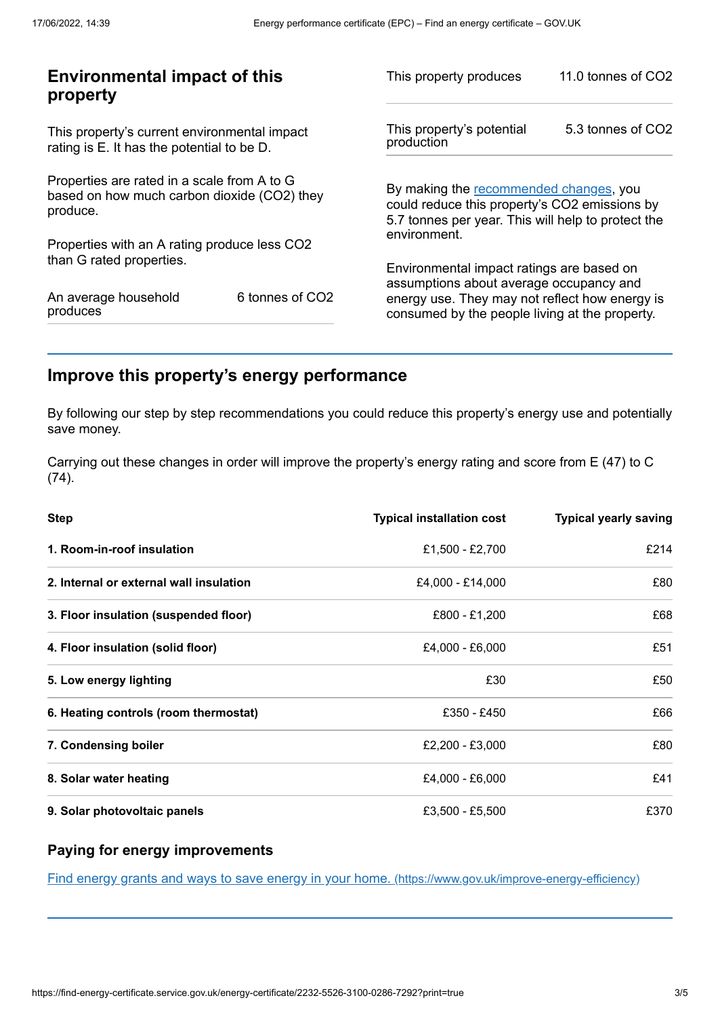|                                                                                                                                               | 11.0 tonnes of CO2                                      |
|-----------------------------------------------------------------------------------------------------------------------------------------------|---------------------------------------------------------|
| This property's potential<br>production                                                                                                       | 5.3 tonnes of CO2                                       |
| By making the recommended changes, you<br>could reduce this property's CO2 emissions by<br>5.7 tonnes per year. This will help to protect the |                                                         |
|                                                                                                                                               |                                                         |
| Environmental impact ratings are based on                                                                                                     |                                                         |
| energy use. They may not reflect how energy is<br>consumed by the people living at the property.                                              |                                                         |
|                                                                                                                                               | environment.<br>assumptions about average occupancy and |

# <span id="page-2-0"></span>**Improve this property's energy performance**

By following our step by step recommendations you could reduce this property's energy use and potentially save money.

Carrying out these changes in order will improve the property's energy rating and score from E (47) to C (74).

| <b>Step</b>                             | <b>Typical installation cost</b> | <b>Typical yearly saving</b> |
|-----------------------------------------|----------------------------------|------------------------------|
| 1. Room-in-roof insulation              | £1,500 - £2,700                  | £214                         |
| 2. Internal or external wall insulation | £4,000 - £14,000                 | £80                          |
| 3. Floor insulation (suspended floor)   | £800 - £1,200                    | £68                          |
| 4. Floor insulation (solid floor)       | £4,000 - £6,000                  | £51                          |
| 5. Low energy lighting                  | £30                              | £50                          |
| 6. Heating controls (room thermostat)   | £350 - £450                      | £66                          |
| 7. Condensing boiler                    | £2,200 - £3,000                  | £80                          |
| 8. Solar water heating                  | £4,000 - £6,000                  | £41                          |
| 9. Solar photovoltaic panels            | £3,500 - £5,500                  | £370                         |

## **Paying for energy improvements**

Find energy grants and ways to save energy in your home. [\(https://www.gov.uk/improve-energy-efficiency\)](https://www.gov.uk/improve-energy-efficiency)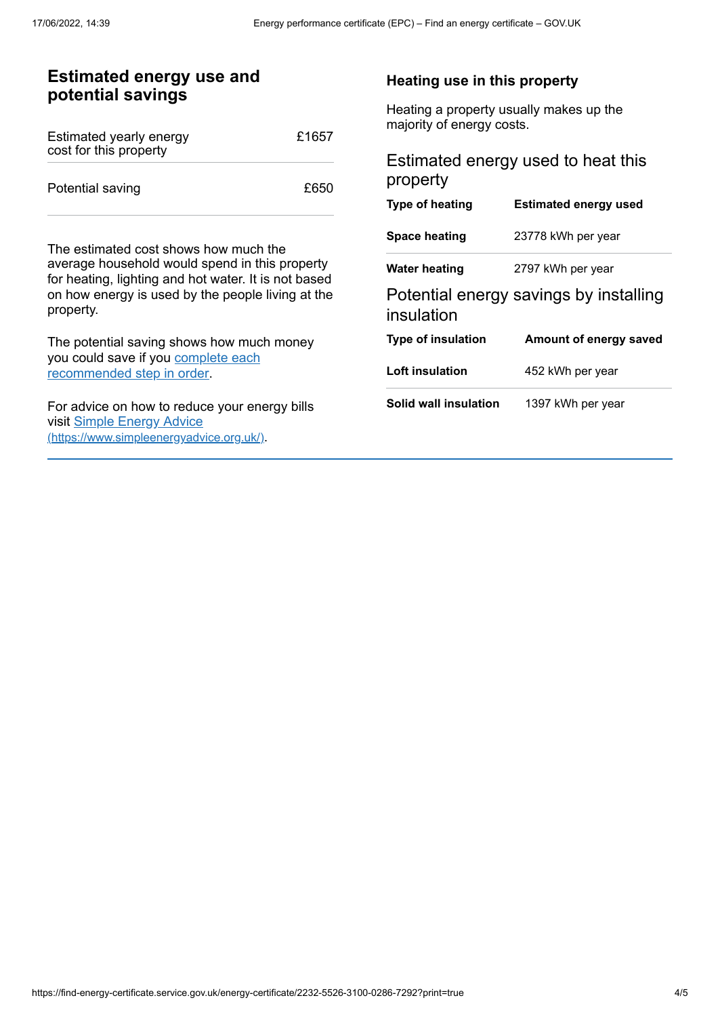## **Estimated energy use and potential savings**

| Estimated yearly energy<br>cost for this property | £1657 |
|---------------------------------------------------|-------|
| Potential saving                                  | £650  |

The estimated cost shows how much the average household would spend in this property for heating, lighting and hot water. It is not based on how energy is used by the people living at the property.

The potential saving shows how much money you could save if you complete each [recommended](#page-2-0) step in order.

For advice on how to reduce your energy bills visit Simple Energy Advice [\(https://www.simpleenergyadvice.org.uk/\)](https://www.simpleenergyadvice.org.uk/).

#### **Heating use in this property**

Heating a property usually makes up the majority of energy costs.

### Estimated energy used to heat this property

| Type of heating           | <b>Estimated energy used</b>           |
|---------------------------|----------------------------------------|
| Space heating             | 23778 kWh per year                     |
| Water heating             | 2797 kWh per year                      |
| insulation                | Potential energy savings by installing |
| <b>Type of insulation</b> | Amount of energy saved                 |
| <b>Loft insulation</b>    | 452 kWh per year                       |
| Solid wall insulation     | 1397 kWh per vear                      |